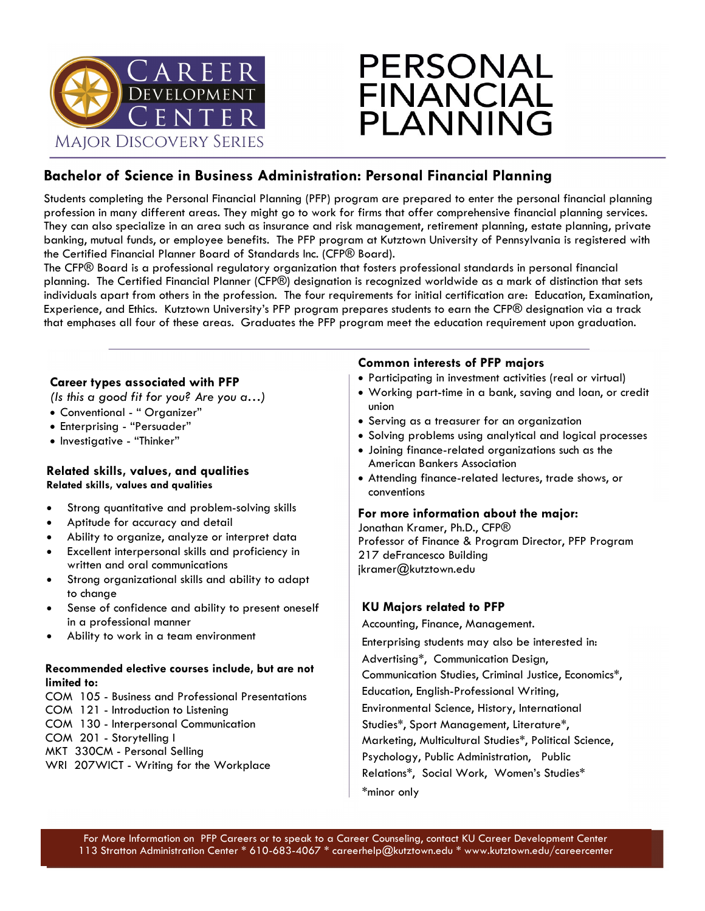

# PERSONAL **FINANCIAL** PLANNING

## **Bachelor of Science in Business Administration: Personal Financial Planning**

Students completing the Personal Financial Planning (PFP) program are prepared to enter the personal financial planning profession in many different areas. They might go to work for firms that offer comprehensive financial planning services. They can also specialize in an area such as insurance and risk management, retirement planning, estate planning, private banking, mutual funds, or employee benefits. The PFP program at Kutztown University of Pennsylvania is registered with the Certified Financial Planner Board of Standards Inc. (CFP® Board).

The CFP® Board is a professional regulatory organization that fosters professional standards in personal financial planning. The Certified Financial Planner (CFP®) designation is recognized worldwide as a mark of distinction that sets individuals apart from others in the profession. The four requirements for initial certification are: Education, Examination, Experience, and Ethics. Kutztown University's PFP program prepares students to earn the CFP® designation via a track that emphases all four of these areas. Graduates the PFP program meet the education requirement upon graduation.

## **Career types associated with PFP**

*(Is this a good fit for you? Are you a…)*

- Conventional " Organizer"
- Enterprising "Persuader"
- Investigative "Thinker"

## **Related skills, values, and qualities Related skills, values and qualities**

- Strong quantitative and problem-solving skills
- Aptitude for accuracy and detail
- Ability to organize, analyze or interpret data
- Excellent interpersonal skills and proficiency in written and oral communications
- Strong organizational skills and ability to adapt to change
- Sense of confidence and ability to present oneself in a professional manner
- Ability to work in a team environment

#### **Recommended elective courses include, but are not limited to:**

- COM 105 Business and Professional Presentations
- COM 121 Introduction to Listening
- COM 130 Interpersonal Communication
- COM 201 Storytelling I
- MKT 330CM Personal Selling
- WRI 207WICT Writing for the Workplace

## **Common interests of PFP majors**

- Participating in investment activities (real or virtual)
- Working part-time in a bank, saving and loan, or credit union
- Serving as a treasurer for an organization
- Solving problems using analytical and logical processes
- Joining finance-related organizations such as the American Bankers Association
- Attending finance-related lectures, trade shows, or conventions

## **For more information about the major:**

Jonathan Kramer, Ph.D., CFP® Professor of Finance & Program Director, PFP Program 217 deFrancesco Building jkramer@kutztown.edu

## **KU Majors related to PFP**

Accounting, Finance, Management.

Enterprising students may also be interested in:

Advertising\*, Communication Design,

- Communication Studies, Criminal Justice, Economics\*,
- Education, English-Professional Writing,
- Environmental Science, History, International
- Studies\*, Sport Management, Literature\*,
- Marketing, Multicultural Studies\*, Political Science,
- Psychology, Public Administration, Public
- Relations\*, Social Work, Women's Studies\*
- \*minor only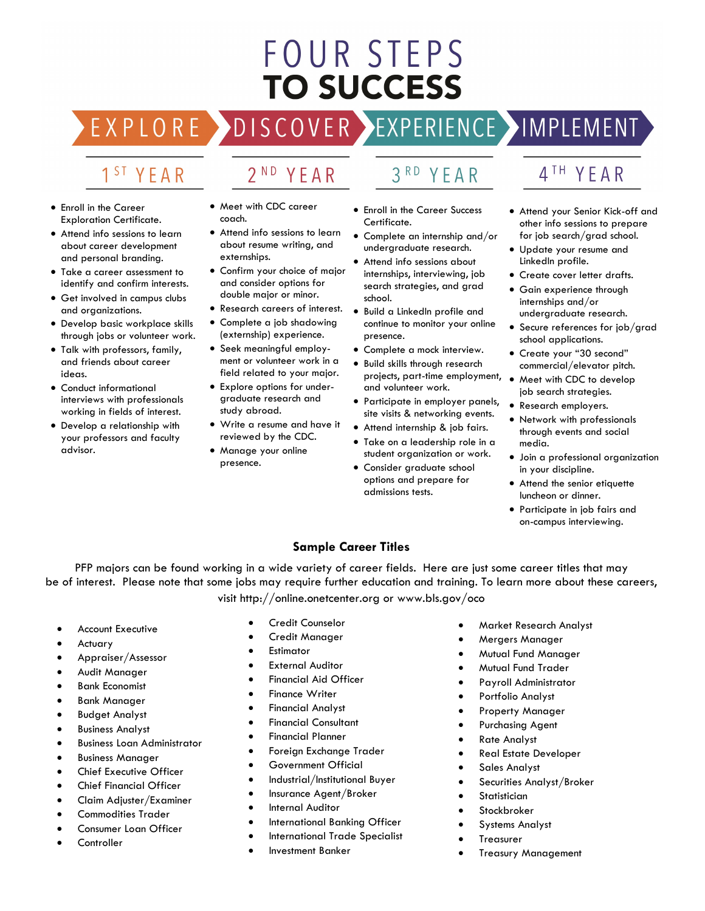# FOUR STEPS **TO SUCCESS**

EXPLORE >

# 1<sup>ST</sup> YEAR

- Enroll in the Career Exploration Certificate.
- Attend info sessions to learn about career development and personal branding.
- Take a career assessment to identify and confirm interests.
- Get involved in campus clubs and organizations.
- Develop basic workplace skills through jobs or volunteer work.
- Talk with professors, family, and friends about career ideas.
- Conduct informational interviews with professionals working in fields of interest.
- Develop a relationship with your professors and faculty advisor.
- Meet with CDC career coach.
- Attend info sessions to learn about resume writing, and externships.
- Confirm your choice of major and consider options for double major or minor.
- Research careers of interest.
- Complete a job shadowing (externship) experience.
- Seek meaningful employment or volunteer work in a field related to your major.
- Explore options for undergraduate research and study abroad.
- Write a resume and have it reviewed by the CDC.
- Manage your online presence.

#### $3<sup>RD</sup>$ YEAR

- Enroll in the Career Success Certificate.
- Complete an internship and/or undergraduate research.
- Attend info sessions about internships, interviewing, job search strategies, and grad school.
- Build a LinkedIn profile and continue to monitor your online presence.
- Complete a mock interview.
- Build skills through research projects, part-time employment, and volunteer work.
- Participate in employer panels, site visits & networking events.
- Attend internship & job fairs.
- Take on a leadership role in a student organization or work.
- Consider graduate school options and prepare for admissions tests.

# 4<sup>TH</sup> YEAR

- Attend your Senior Kick-off and other info sessions to prepare for job search/grad school.
- Update your resume and LinkedIn profile.
- Create cover letter drafts.
- Gain experience through internships and/or undergraduate research.
- Secure references for job/grad school applications.
- Create your "30 second" commercial/elevator pitch.
- Meet with CDC to develop job search strategies.
- Research employers.
- Network with professionals through events and social media.
- Join a professional organization in your discipline.
- Attend the senior etiquette luncheon or dinner.
- Participate in job fairs and on-campus interviewing.

## **Sample Career Titles**

PFP majors can be found working in a wide variety of career fields. Here are just some career titles that may be of interest. Please note that some jobs may require further education and training. To learn more about these careers, visit http://online.onetcenter.org or www.bls.gov/oco

- **Account Executive**
- **Actuary**
- Appraiser/Assessor
- Audit Manager
- Bank Economist
- Bank Manager
- Budget Analyst
- Business Analyst
- Business Loan Administrator
- Business Manager
- Chief Executive Officer
- Chief Financial Officer
- Claim Adjuster/Examiner
- Commodities Trader
- Consumer Loan Officer
- **Controller**
- Credit Counselor
- Credit Manager
- **Estimator**
- **External Auditor**
- Financial Aid Officer
- **Finance Writer**
- Financial Analyst
- Financial Consultant
- Financial Planner
- Foreign Exchange Trader
- Government Official
- Industrial/Institutional Buyer
- Insurance Agent/Broker
- Internal Auditor
- International Banking Officer
- International Trade Specialist
- Investment Banker
- Market Research Analyst
- Mergers Manager
- Mutual Fund Manager
- Mutual Fund Trader
- Payroll Administrator
- Portfolio Analyst
- Property Manager
- Purchasing Agent
- **Rate Analyst**
- Real Estate Developer
- Sales Analyst
- Securities Analyst/Broker
- **Statistician**
- **Stockbroker**
- Systems Analyst
- **Treasurer**
- Treasury Management

DISCOVER EXPERIENCE MPLEMENT

# 2<sup>ND</sup> YEAR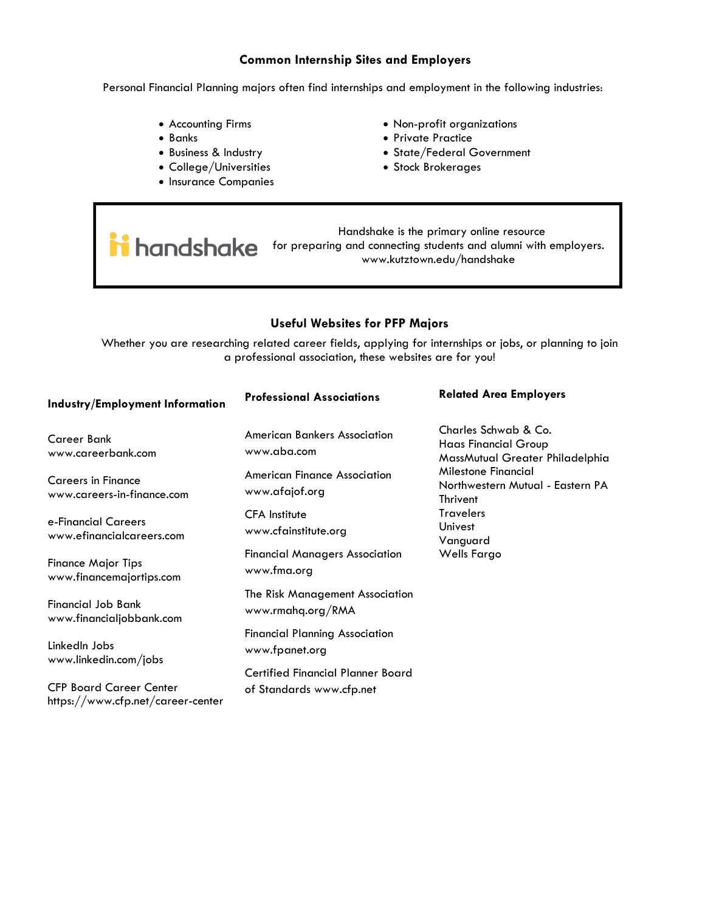#### **Common Internship Sites and Employers**

Personal Financial Planning majors often find internships and employment in the following industries:

- Accounting Firms
- Banks
- Business & Industry
- College/Universities
- Insurance Companies
- Non-profit organizations
- Private Practice
- State/Federal Government
- Stock Brokerages

 Handshake is the primary online resource Handshake is the primary online resource<br>**In and Shake** for preparing and connecting students and alumni with employers. www.kutztown.edu/handshake

## **Useful Websites for PFP Majors**

Whether you are researching related career fields, applying for internships or jobs, or planning to join a professional association, these websites are for you!

| Industry/Employment Information                                     | <b>Professional Associations</b>                                     | <b>Related Area Employers</b>                                                          |
|---------------------------------------------------------------------|----------------------------------------------------------------------|----------------------------------------------------------------------------------------|
| Career Bank<br>www.careerbank.com                                   | <b>American Bankers Association</b><br>www.aba.com                   | Charles Schwab & Co.<br><b>Haas Financial Group</b><br>MassMutual Greater Philadelphia |
| <b>Careers in Finance</b><br>www.careers-in-finance.com             | <b>American Finance Association</b><br>www.afajof.org                | Milestone Financial<br>Northwestern Mutual - Eastern PA<br>Thrivent                    |
| e-Financial Careers<br>www.efinancialcareers.com                    | <b>CFA</b> Institute<br>www.cfainstitute.org                         | <b>Travelers</b><br>Univest<br>Vanguard                                                |
| <b>Finance Major Tips</b><br>www.financemajortips.com               | <b>Financial Managers Association</b><br>www.fma.org                 | Wells Fargo                                                                            |
| <b>Financial Job Bank</b><br>www.financialjobbank.com               | The Risk Management Association<br>www.rmahq.org/RMA                 |                                                                                        |
| Linkedln Jobs<br>www.linkedin.com/jobs                              | <b>Financial Planning Association</b><br>www.fpanet.org              |                                                                                        |
| <b>CFP Board Career Center</b><br>https://www.cfp.net/career-center | <b>Certified Financial Planner Board</b><br>of Standards www.cfp.net |                                                                                        |